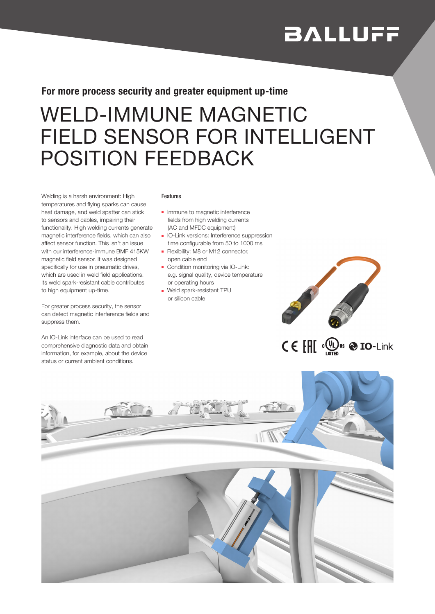# **BALLUFF**

### For more process security and greater equipment up-time

## WELD-IMMUNE MAGNETIC FIELD SENSOR FOR INTELLIGENT POSITION FEEDBACK

Welding is a harsh environment: High temperatures and flying sparks can cause heat damage, and weld spatter can stick to sensors and cables, impairing their functionality. High welding currents generate magnetic interference fields, which can also affect sensor function. This isn't an issue with our interference-immune BMF 415KW magnetic field sensor. It was designed specifically for use in pneumatic drives, which are used in weld field applications. Its weld spark-resistant cable contributes to high equipment up-time.

For greater process security, the sensor can detect magnetic interference fields and suppress them.

An IO-Link interface can be used to read comprehensive diagnostic data and obtain information, for example, about the device status or current ambient conditions.

#### Features

- Immune to magnetic interference fields from high welding currents (AC and MFDC equipment)
- IO-Link versions: Interference suppression time configurable from 50 to 1000 ms
- Flexibility: M8 or M12 connector, open cable end
- Condition monitoring via IO-Link: e.g. signal quality, device temperature or operating hours
- Weld spark-resistant TPU or silicon cable



## $C \in \left[ \text{III} \right]$   $\left( \bigoplus_{\text{left}} \text{us} \bigotimes \text{IO-Link} \right)$